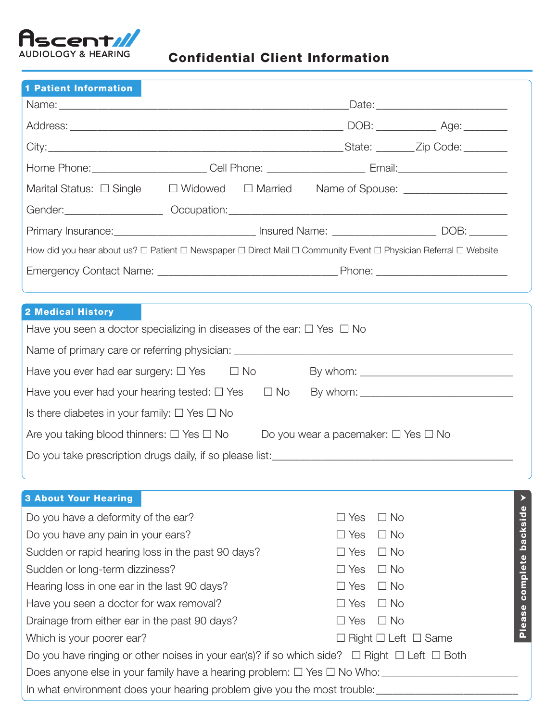

# Confidential Client Information

| <b>1 Patient Information</b>                                                                                    |            |            |                                               |  |  |
|-----------------------------------------------------------------------------------------------------------------|------------|------------|-----------------------------------------------|--|--|
|                                                                                                                 |            |            |                                               |  |  |
|                                                                                                                 |            |            |                                               |  |  |
|                                                                                                                 |            |            |                                               |  |  |
|                                                                                                                 |            |            |                                               |  |  |
| Marital Status: □ Single □ Widowed □ Married Name of Spouse: __________________                                 |            |            |                                               |  |  |
|                                                                                                                 |            |            |                                               |  |  |
| Primary Insurance: <u>________________________________</u> Insured Name: ________________________DOB: _________ |            |            |                                               |  |  |
| How did you hear about us? □ Patient □ Newspaper □ Direct Mail □ Community Event □ Physician Referral □ Website |            |            |                                               |  |  |
|                                                                                                                 |            |            |                                               |  |  |
|                                                                                                                 |            |            |                                               |  |  |
| 2 Medical History                                                                                               |            |            |                                               |  |  |
| Have you seen a doctor specializing in diseases of the ear: $\Box$ Yes $\Box$ No                                |            |            |                                               |  |  |
|                                                                                                                 |            |            |                                               |  |  |
| Have you ever had ear surgery: $\Box$ Yes $\Box$ No                                                             |            |            |                                               |  |  |
| Have you ever had your hearing tested: $\Box$ Yes $\Box$ No                                                     |            |            |                                               |  |  |
| Is there diabetes in your family: $\Box$ Yes $\Box$ No                                                          |            |            |                                               |  |  |
| Are you taking blood thinners: $\square$ Yes $\square$ No                                                       |            |            | Do you wear a pacemaker: $\Box$ Yes $\Box$ No |  |  |
|                                                                                                                 |            |            |                                               |  |  |
|                                                                                                                 |            |            |                                               |  |  |
|                                                                                                                 |            |            |                                               |  |  |
| <b>3 About Your Hearing</b><br>Do you have a deformity of the ear?                                              |            | $\Box$ Yes | $\Box$ No                                     |  |  |
| Do you have any pain in your ears?                                                                              | $\Box$ Yes | $\Box$ No  |                                               |  |  |
| Sudden or rapid hearing loss in the past 90 days?                                                               | $\Box$ Yes | $\Box$ No  |                                               |  |  |
| Sudden or long-term dizziness?                                                                                  | $\Box$ Yes | $\Box$ No  |                                               |  |  |
| Hearing loss in one ear in the last 90 days?                                                                    | $\Box$ Yes | $\Box$ No  |                                               |  |  |
| Have you seen a doctor for wax removal?                                                                         | $\Box$ Yes | $\Box$ No  | Please complete backside                      |  |  |
| Drainage from either ear in the past 90 days?                                                                   | Yes        | $\Box$ No  |                                               |  |  |
| Which is your poorer ear?                                                                                       |            |            | $\Box$ Right $\Box$ Left $\Box$ Same          |  |  |
| Do you have ringing or other noises in your ear(s)? if so which side? $\Box$ Right $\Box$ Left $\Box$ Both      |            |            |                                               |  |  |
|                                                                                                                 |            |            |                                               |  |  |
|                                                                                                                 |            |            |                                               |  |  |
| In what environment does your hearing problem give you the most trouble:                                        |            |            |                                               |  |  |